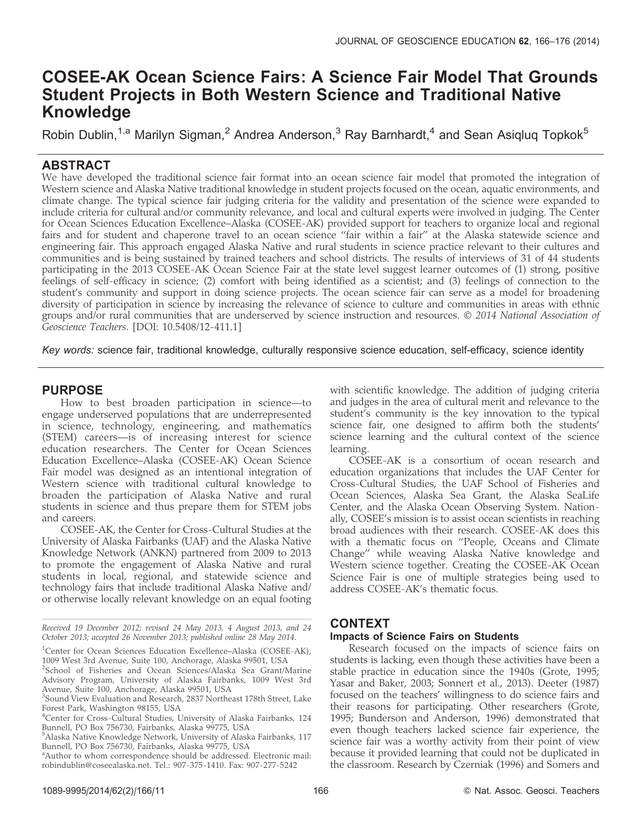# COSEE-AK Ocean Science Fairs: A Science Fair Model That Grounds Student Projects in Both Western Science and Traditional Native Knowledge

Robin Dublin,<sup>1,a</sup> Marilyn Sigman,<sup>2</sup> Andrea Anderson,<sup>3</sup> Ray Barnhardt,<sup>4</sup> and Sean Asiglug Topkok<sup>5</sup>

# ABSTRACT

We have developed the traditional science fair format into an ocean science fair model that promoted the integration of Western science and Alaska Native traditional knowledge in student projects focused on the ocean, aquatic environments, and climate change. The typical science fair judging criteria for the validity and presentation of the science were expanded to include criteria for cultural and/or community relevance, and local and cultural experts were involved in judging. The Center for Ocean Sciences Education Excellence–Alaska (COSEE-AK) provided support for teachers to organize local and regional fairs and for student and chaperone travel to an ocean science ''fair within a fair'' at the Alaska statewide science and engineering fair. This approach engaged Alaska Native and rural students in science practice relevant to their cultures and communities and is being sustained by trained teachers and school districts. The results of interviews of 31 of 44 students participating in the 2013 COSEE-AK Ocean Science Fair at the state level suggest learner outcomes of (1) strong, positive feelings of self-efficacy in science; (2) comfort with being identified as a scientist; and (3) feelings of connection to the student's community and support in doing science projects. The ocean science fair can serve as a model for broadening diversity of participation in science by increasing the relevance of science to culture and communities in areas with ethnic groups and/or rural communities that are underserved by science instruction and resources. © 2014 National Association of Geoscience Teachers. [DOI: 10.5408/12-411.1]

Key words: science fair, traditional knowledge, culturally responsive science education, self-efficacy, science identity

# PURPOSE

How to best broaden participation in science—to engage underserved populations that are underrepresented in science, technology, engineering, and mathematics (STEM) careers—is of increasing interest for science education researchers. The Center for Ocean Sciences Education Excellence–Alaska (COSEE-AK) Ocean Science Fair model was designed as an intentional integration of Western science with traditional cultural knowledge to broaden the participation of Alaska Native and rural students in science and thus prepare them for STEM jobs and careers.

COSEE-AK, the Center for Cross-Cultural Studies at the University of Alaska Fairbanks (UAF) and the Alaska Native Knowledge Network (ANKN) partnered from 2009 to 2013 to promote the engagement of Alaska Native and rural students in local, regional, and statewide science and technology fairs that include traditional Alaska Native and/ or otherwise locally relevant knowledge on an equal footing with scientific knowledge. The addition of judging criteria and judges in the area of cultural merit and relevance to the student's community is the key innovation to the typical science fair, one designed to affirm both the students' science learning and the cultural context of the science learning.

COSEE-AK is a consortium of ocean research and education organizations that includes the UAF Center for Cross-Cultural Studies, the UAF School of Fisheries and Ocean Sciences, Alaska Sea Grant, the Alaska SeaLife Center, and the Alaska Ocean Observing System. Nationally, COSEE's mission is to assist ocean scientists in reaching broad audiences with their research. COSEE-AK does this with a thematic focus on ''People, Oceans and Climate Change'' while weaving Alaska Native knowledge and Western science together. Creating the COSEE-AK Ocean Science Fair is one of multiple strategies being used to address COSEE-AK's thematic focus.

# CONTEXT

# Impacts of Science Fairs on Students

Research focused on the impacts of science fairs on students is lacking, even though these activities have been a stable practice in education since the 1940s (Grote, 1995; Yasar and Baker, 2003; Sonnert et al., 2013). Deeter (1987) focused on the teachers' willingness to do science fairs and their reasons for participating. Other researchers (Grote, 1995; Bunderson and Anderson, 1996) demonstrated that even though teachers lacked science fair experience, the science fair was a worthy activity from their point of view because it provided learning that could not be duplicated in the classroom. Research by Czerniak (1996) and Somers and

Received 19 December 2012; revised 24 May 2013, 4 August 2013, and 24 October 2013; accepted 26 November 2013; published online 28 May 2014.

<sup>&</sup>lt;sup>1</sup>Center for Ocean Sciences Education Excellence-Alaska (COSEE-AK), 1009 West 3rd Avenue, Suite 100, Anchorage, Alaska 99501, USA

<sup>&</sup>lt;sup>2</sup>School of Fisheries and Ocean Sciences/Alaska Sea Grant/Marine Advisory Program, University of Alaska Fairbanks, 1009 West 3rd Avenue, Suite 100, Anchorage, Alaska 99501, USA

<sup>3</sup> Sound View Evaluation and Research, 2837 Northeast 178th Street, Lake Forest Park, Washington 98155, USA

<sup>4</sup> Center for Cross-Cultural Studies, University of Alaska Fairbanks, 124 Bunnell, PO Box 756730, Fairbanks, Alaska 99775, USA

<sup>5</sup> Alaska Native Knowledge Network, University of Alaska Fairbanks, 117 Bunnell, PO Box 756730, Fairbanks, Alaska 99775, USA

<sup>&</sup>lt;sup>a</sup> Author to whom correspondence should be addressed. Electronic mail: robindublin@coseealaska.net. Tel.: 907-375-1410. Fax: 907-277-5242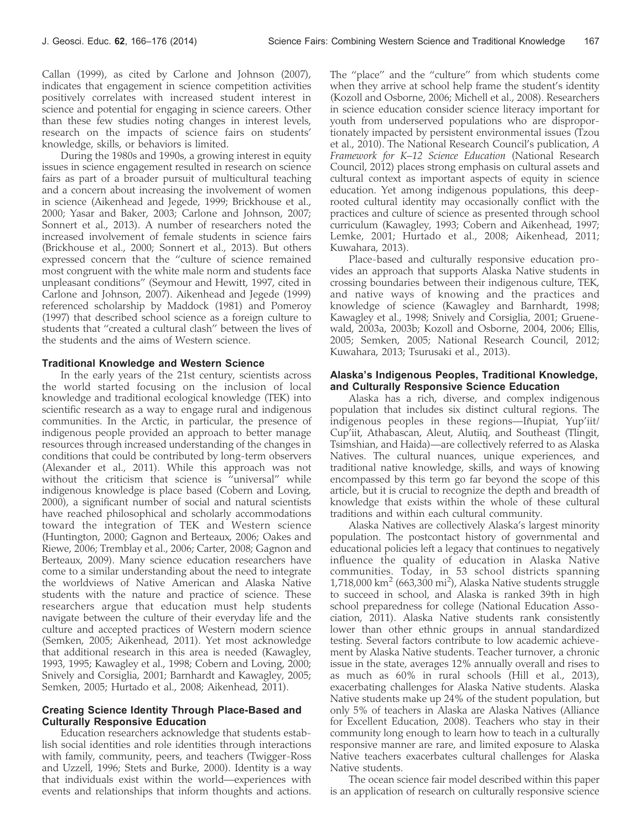Callan (1999), as cited by Carlone and Johnson (2007), indicates that engagement in science competition activities positively correlates with increased student interest in science and potential for engaging in science careers. Other than these few studies noting changes in interest levels, research on the impacts of science fairs on students' knowledge, skills, or behaviors is limited.

During the 1980s and 1990s, a growing interest in equity issues in science engagement resulted in research on science fairs as part of a broader pursuit of multicultural teaching and a concern about increasing the involvement of women in science (Aikenhead and Jegede, 1999; Brickhouse et al., 2000; Yasar and Baker, 2003; Carlone and Johnson, 2007; Sonnert et al., 2013). A number of researchers noted the increased involvement of female students in science fairs (Brickhouse et al., 2000; Sonnert et al., 2013). But others expressed concern that the ''culture of science remained most congruent with the white male norm and students face unpleasant conditions'' (Seymour and Hewitt, 1997, cited in Carlone and Johnson, 2007). Aikenhead and Jegede (1999) referenced scholarship by Maddock (1981) and Pomeroy (1997) that described school science as a foreign culture to students that ''created a cultural clash'' between the lives of the students and the aims of Western science.

#### Traditional Knowledge and Western Science

In the early years of the 21st century, scientists across the world started focusing on the inclusion of local knowledge and traditional ecological knowledge (TEK) into scientific research as a way to engage rural and indigenous communities. In the Arctic, in particular, the presence of indigenous people provided an approach to better manage resources through increased understanding of the changes in conditions that could be contributed by long-term observers (Alexander et al., 2011). While this approach was not without the criticism that science is  $\tilde{u}$  universal" while indigenous knowledge is place based (Cobern and Loving, 2000), a significant number of social and natural scientists have reached philosophical and scholarly accommodations toward the integration of TEK and Western science (Huntington, 2000; Gagnon and Berteaux, 2006; Oakes and Riewe, 2006; Tremblay et al., 2006; Carter, 2008; Gagnon and Berteaux, 2009). Many science education researchers have come to a similar understanding about the need to integrate the worldviews of Native American and Alaska Native students with the nature and practice of science. These researchers argue that education must help students navigate between the culture of their everyday life and the culture and accepted practices of Western modern science (Semken, 2005; Aikenhead, 2011). Yet most acknowledge that additional research in this area is needed (Kawagley, 1993, 1995; Kawagley et al., 1998; Cobern and Loving, 2000; Snively and Corsiglia, 2001; Barnhardt and Kawagley, 2005; Semken, 2005; Hurtado et al., 2008; Aikenhead, 2011).

#### Creating Science Identity Through Place-Based and Culturally Responsive Education

Education researchers acknowledge that students establish social identities and role identities through interactions with family, community, peers, and teachers (Twigger-Ross and Uzzell, 1996; Stets and Burke, 2000). Identity is a way that individuals exist within the world—experiences with events and relationships that inform thoughts and actions.

The "place" and the "culture" from which students come when they arrive at school help frame the student's identity (Kozoll and Osborne, 2006; Michell et al., 2008). Researchers in science education consider science literacy important for youth from underserved populations who are disproportionately impacted by persistent environmental issues (Tzou et al., 2010). The National Research Council's publication, A Framework for K–12 Science Education (National Research Council, 2012) places strong emphasis on cultural assets and cultural context as important aspects of equity in science education. Yet among indigenous populations, this deeprooted cultural identity may occasionally conflict with the practices and culture of science as presented through school curriculum (Kawagley, 1993; Cobern and Aikenhead, 1997; Lemke, 2001; Hurtado et al., 2008; Aikenhead, 2011; Kuwahara, 2013).

Place-based and culturally responsive education provides an approach that supports Alaska Native students in crossing boundaries between their indigenous culture, TEK, and native ways of knowing and the practices and knowledge of science (Kawagley and Barnhardt, 1998; Kawagley et al., 1998; Snively and Corsiglia, 2001; Gruenewald, 2003a, 2003b; Kozoll and Osborne, 2004, 2006; Ellis, 2005; Semken, 2005; National Research Council, 2012; Kuwahara, 2013; Tsurusaki et al., 2013).

#### Alaska's Indigenous Peoples, Traditional Knowledge, and Culturally Responsive Science Education

Alaska has a rich, diverse, and complex indigenous population that includes six distinct cultural regions. The indigenous peoples in these regions—Iñupiat, Yup'iit/ Cup'iit, Athabascan, Aleut, Alutiiq, and Southeast (Tlingit, Tsimshian, and Haida)—are collectively referred to as Alaska Natives. The cultural nuances, unique experiences, and traditional native knowledge, skills, and ways of knowing encompassed by this term go far beyond the scope of this article, but it is crucial to recognize the depth and breadth of knowledge that exists within the whole of these cultural traditions and within each cultural community.

Alaska Natives are collectively Alaska's largest minority population. The postcontact history of governmental and educational policies left a legacy that continues to negatively influence the quality of education in Alaska Native communities. Today, in 53 school districts spanning  $1,718,000$  km<sup>2</sup> (663,300 mi<sup>2</sup>), Alaska Native students struggle to succeed in school, and Alaska is ranked 39th in high school preparedness for college (National Education Association, 2011). Alaska Native students rank consistently lower than other ethnic groups in annual standardized testing. Several factors contribute to low academic achievement by Alaska Native students. Teacher turnover, a chronic issue in the state, averages 12% annually overall and rises to as much as 60% in rural schools (Hill et al., 2013), exacerbating challenges for Alaska Native students. Alaska Native students make up 24% of the student population, but only 5% of teachers in Alaska are Alaska Natives (Alliance for Excellent Education, 2008). Teachers who stay in their community long enough to learn how to teach in a culturally responsive manner are rare, and limited exposure to Alaska Native teachers exacerbates cultural challenges for Alaska Native students.

The ocean science fair model described within this paper is an application of research on culturally responsive science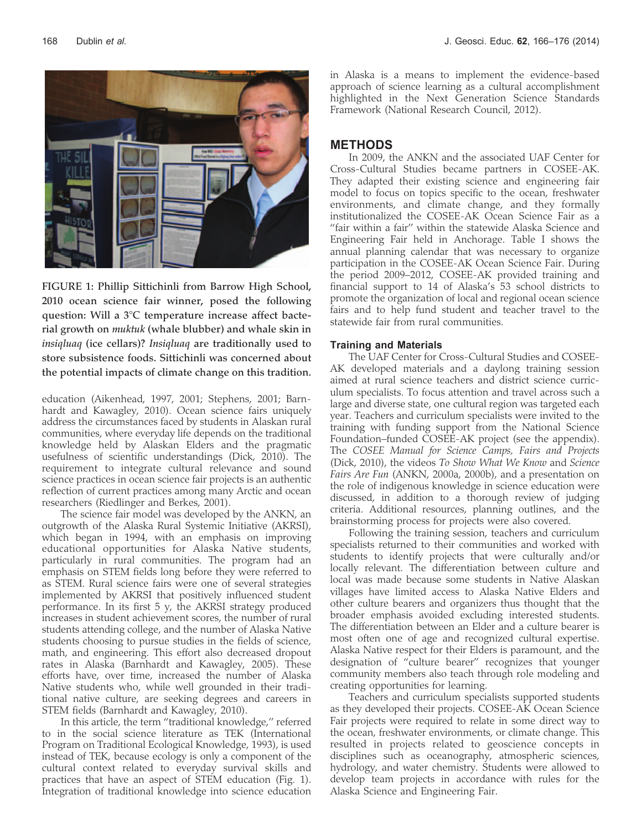

FIGURE 1: Phillip Sittichinli from Barrow High School, 2010 ocean science fair winner, posed the following question: Will a  $3^{\circ}$ C temperature increase affect bacterial growth on muktuk (whale blubber) and whale skin in insiqluaq (ice cellars)? Insiqluaq are traditionally used to store subsistence foods. Sittichinli was concerned about the potential impacts of climate change on this tradition.

education (Aikenhead, 1997, 2001; Stephens, 2001; Barnhardt and Kawagley, 2010). Ocean science fairs uniquely address the circumstances faced by students in Alaskan rural communities, where everyday life depends on the traditional knowledge held by Alaskan Elders and the pragmatic usefulness of scientific understandings (Dick, 2010). The requirement to integrate cultural relevance and sound science practices in ocean science fair projects is an authentic reflection of current practices among many Arctic and ocean researchers (Riedlinger and Berkes, 2001).

The science fair model was developed by the ANKN, an outgrowth of the Alaska Rural Systemic Initiative (AKRSI), which began in 1994, with an emphasis on improving educational opportunities for Alaska Native students, particularly in rural communities. The program had an emphasis on STEM fields long before they were referred to as STEM. Rural science fairs were one of several strategies implemented by AKRSI that positively influenced student performance. In its first 5 y, the AKRSI strategy produced increases in student achievement scores, the number of rural students attending college, and the number of Alaska Native students choosing to pursue studies in the fields of science, math, and engineering. This effort also decreased dropout rates in Alaska (Barnhardt and Kawagley, 2005). These efforts have, over time, increased the number of Alaska Native students who, while well grounded in their traditional native culture, are seeking degrees and careers in STEM fields (Barnhardt and Kawagley, 2010).

In this article, the term ''traditional knowledge,'' referred to in the social science literature as TEK (International Program on Traditional Ecological Knowledge, 1993), is used instead of TEK, because ecology is only a component of the cultural context related to everyday survival skills and practices that have an aspect of STEM education (Fig. 1). Integration of traditional knowledge into science education

in Alaska is a means to implement the evidence-based approach of science learning as a cultural accomplishment highlighted in the Next Generation Science Standards Framework (National Research Council, 2012).

# METHODS

In 2009, the ANKN and the associated UAF Center for Cross-Cultural Studies became partners in COSEE-AK. They adapted their existing science and engineering fair model to focus on topics specific to the ocean, freshwater environments, and climate change, and they formally institutionalized the COSEE-AK Ocean Science Fair as a "fair within a fair" within the statewide Alaska Science and Engineering Fair held in Anchorage. Table I shows the annual planning calendar that was necessary to organize participation in the COSEE-AK Ocean Science Fair. During the period 2009–2012, COSEE-AK provided training and financial support to 14 of Alaska's 53 school districts to promote the organization of local and regional ocean science fairs and to help fund student and teacher travel to the statewide fair from rural communities.

#### Training and Materials

The UAF Center for Cross-Cultural Studies and COSEE-AK developed materials and a daylong training session aimed at rural science teachers and district science curriculum specialists. To focus attention and travel across such a large and diverse state, one cultural region was targeted each year. Teachers and curriculum specialists were invited to the training with funding support from the National Science Foundation–funded COSEE-AK project (see the appendix). The COSEE Manual for Science Camps, Fairs and Projects (Dick, 2010), the videos To Show What We Know and Science Fairs Are Fun (ANKN, 2000a, 2000b), and a presentation on the role of indigenous knowledge in science education were discussed, in addition to a thorough review of judging criteria. Additional resources, planning outlines, and the brainstorming process for projects were also covered.

Following the training session, teachers and curriculum specialists returned to their communities and worked with students to identify projects that were culturally and/or locally relevant. The differentiation between culture and local was made because some students in Native Alaskan villages have limited access to Alaska Native Elders and other culture bearers and organizers thus thought that the broader emphasis avoided excluding interested students. The differentiation between an Elder and a culture bearer is most often one of age and recognized cultural expertise. Alaska Native respect for their Elders is paramount, and the designation of ''culture bearer'' recognizes that younger community members also teach through role modeling and creating opportunities for learning.

Teachers and curriculum specialists supported students as they developed their projects. COSEE-AK Ocean Science Fair projects were required to relate in some direct way to the ocean, freshwater environments, or climate change. This resulted in projects related to geoscience concepts in disciplines such as oceanography, atmospheric sciences, hydrology, and water chemistry. Students were allowed to develop team projects in accordance with rules for the Alaska Science and Engineering Fair.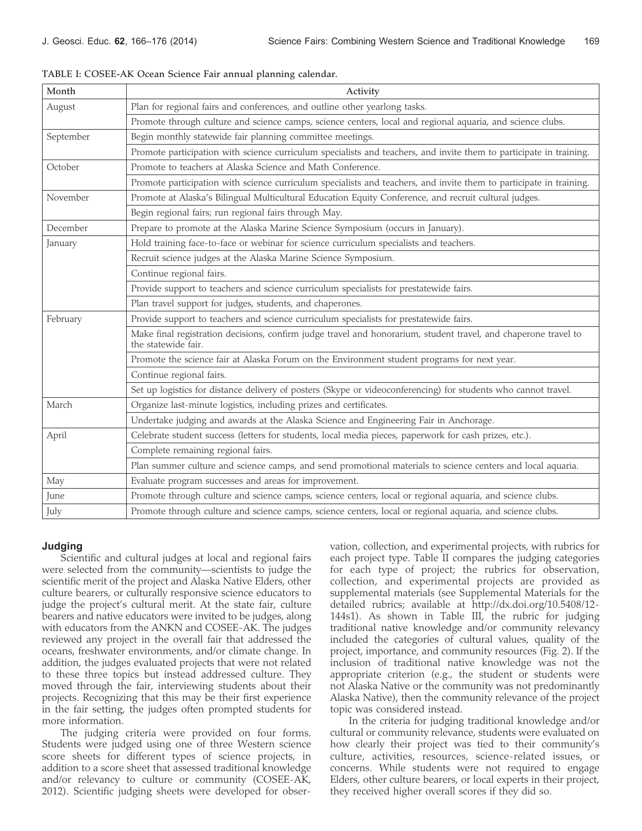| TABLE I: COSEE-AK Ocean Science Fair annual planning calendar. |  |  |  |  |
|----------------------------------------------------------------|--|--|--|--|
|----------------------------------------------------------------|--|--|--|--|

| Month                                                                  | Activity                                                                                                                               |  |  |  |  |
|------------------------------------------------------------------------|----------------------------------------------------------------------------------------------------------------------------------------|--|--|--|--|
| August                                                                 | Plan for regional fairs and conferences, and outline other yearlong tasks.                                                             |  |  |  |  |
|                                                                        | Promote through culture and science camps, science centers, local and regional aquaria, and science clubs.                             |  |  |  |  |
| September<br>Begin monthly statewide fair planning committee meetings. |                                                                                                                                        |  |  |  |  |
|                                                                        | Promote participation with science curriculum specialists and teachers, and invite them to participate in training.                    |  |  |  |  |
| October                                                                | Promote to teachers at Alaska Science and Math Conference.                                                                             |  |  |  |  |
|                                                                        | Promote participation with science curriculum specialists and teachers, and invite them to participate in training.                    |  |  |  |  |
| November                                                               | Promote at Alaska's Bilingual Multicultural Education Equity Conference, and recruit cultural judges.                                  |  |  |  |  |
|                                                                        | Begin regional fairs; run regional fairs through May.                                                                                  |  |  |  |  |
| December                                                               | Prepare to promote at the Alaska Marine Science Symposium (occurs in January).                                                         |  |  |  |  |
| January                                                                | Hold training face-to-face or webinar for science curriculum specialists and teachers.                                                 |  |  |  |  |
|                                                                        | Recruit science judges at the Alaska Marine Science Symposium.                                                                         |  |  |  |  |
|                                                                        | Continue regional fairs.                                                                                                               |  |  |  |  |
|                                                                        | Provide support to teachers and science curriculum specialists for prestatewide fairs.                                                 |  |  |  |  |
|                                                                        | Plan travel support for judges, students, and chaperones.                                                                              |  |  |  |  |
| February                                                               | Provide support to teachers and science curriculum specialists for prestatewide fairs.                                                 |  |  |  |  |
|                                                                        | Make final registration decisions, confirm judge travel and honorarium, student travel, and chaperone travel to<br>the statewide fair. |  |  |  |  |
|                                                                        | Promote the science fair at Alaska Forum on the Environment student programs for next year.                                            |  |  |  |  |
|                                                                        | Continue regional fairs.                                                                                                               |  |  |  |  |
|                                                                        | Set up logistics for distance delivery of posters (Skype or videoconferencing) for students who cannot travel.                         |  |  |  |  |
| March                                                                  | Organize last-minute logistics, including prizes and certificates.                                                                     |  |  |  |  |
|                                                                        | Undertake judging and awards at the Alaska Science and Engineering Fair in Anchorage.                                                  |  |  |  |  |
| April                                                                  | Celebrate student success (letters for students, local media pieces, paperwork for cash prizes, etc.).                                 |  |  |  |  |
|                                                                        | Complete remaining regional fairs.                                                                                                     |  |  |  |  |
|                                                                        | Plan summer culture and science camps, and send promotional materials to science centers and local aquaria.                            |  |  |  |  |
| May                                                                    | Evaluate program successes and areas for improvement.                                                                                  |  |  |  |  |
| June                                                                   | Promote through culture and science camps, science centers, local or regional aquaria, and science clubs.                              |  |  |  |  |
| July                                                                   | Promote through culture and science camps, science centers, local or regional aquaria, and science clubs.                              |  |  |  |  |

#### Judging

Scientific and cultural judges at local and regional fairs were selected from the community—scientists to judge the scientific merit of the project and Alaska Native Elders, other culture bearers, or culturally responsive science educators to judge the project's cultural merit. At the state fair, culture bearers and native educators were invited to be judges, along with educators from the ANKN and COSEE-AK. The judges reviewed any project in the overall fair that addressed the oceans, freshwater environments, and/or climate change. In addition, the judges evaluated projects that were not related to these three topics but instead addressed culture. They moved through the fair, interviewing students about their projects. Recognizing that this may be their first experience in the fair setting, the judges often prompted students for more information.

The judging criteria were provided on four forms. Students were judged using one of three Western science score sheets for different types of science projects, in addition to a score sheet that assessed traditional knowledge and/or relevancy to culture or community (COSEE-AK, 2012). Scientific judging sheets were developed for observation, collection, and experimental projects, with rubrics for each project type. Table II compares the judging categories for each type of project; the rubrics for observation, collection, and experimental projects are provided as supplemental materials (see Supplemental Materials for the detailed rubrics; available at http://dx.doi.org/10.5408/12- 144s1). As shown in Table III, the rubric for judging traditional native knowledge and/or community relevancy included the categories of cultural values, quality of the project, importance, and community resources (Fig. 2). If the inclusion of traditional native knowledge was not the appropriate criterion (e.g., the student or students were not Alaska Native or the community was not predominantly Alaska Native), then the community relevance of the project topic was considered instead.

In the criteria for judging traditional knowledge and/or cultural or community relevance, students were evaluated on how clearly their project was tied to their community's culture, activities, resources, science-related issues, or concerns. While students were not required to engage Elders, other culture bearers, or local experts in their project, they received higher overall scores if they did so.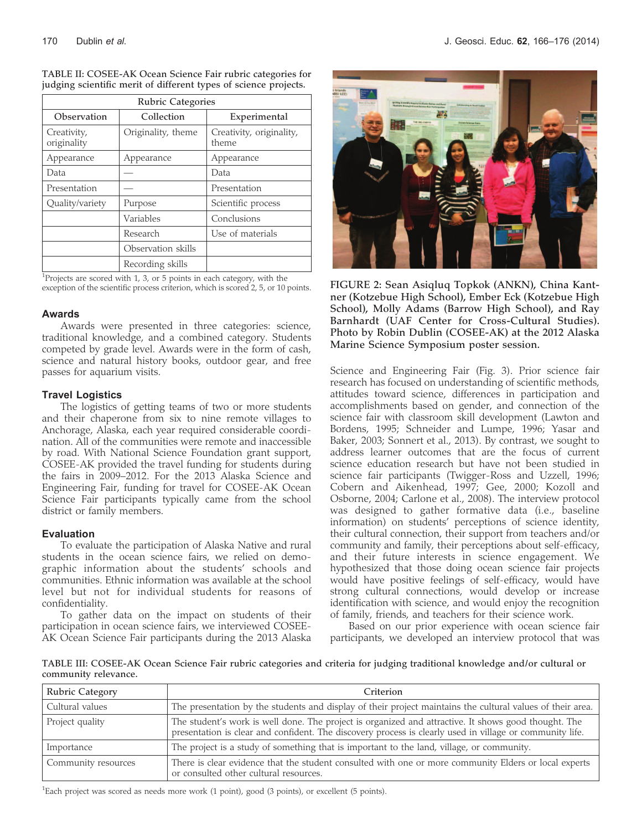| Rubric Categories          |                    |                                   |  |  |  |
|----------------------------|--------------------|-----------------------------------|--|--|--|
| Observation                | Collection         | Experimental                      |  |  |  |
| Creativity,<br>originality | Originality, theme | Creativity, originality,<br>theme |  |  |  |
| Appearance                 | Appearance         | Appearance                        |  |  |  |
| Data                       |                    | Data                              |  |  |  |
| Presentation               |                    | Presentation                      |  |  |  |
| Quality/variety            | Purpose            | Scientific process                |  |  |  |
|                            | Variables          | Conclusions                       |  |  |  |
|                            | Research           | Use of materials                  |  |  |  |
|                            | Observation skills |                                   |  |  |  |
|                            | Recording skills   |                                   |  |  |  |

TABLE II: COSEE-AK Ocean Science Fair rubric categories for judging scientific merit of different types of science projects.

<sup>1</sup>Projects are scored with 1, 3, or 5 points in each category, with the exception of the scientific process criterion, which is scored 2, 5, or 10 points.

#### Awards

Awards were presented in three categories: science, traditional knowledge, and a combined category. Students competed by grade level. Awards were in the form of cash, science and natural history books, outdoor gear, and free passes for aquarium visits.

#### Travel Logistics

The logistics of getting teams of two or more students and their chaperone from six to nine remote villages to Anchorage, Alaska, each year required considerable coordination. All of the communities were remote and inaccessible by road. With National Science Foundation grant support, COSEE-AK provided the travel funding for students during the fairs in 2009–2012. For the 2013 Alaska Science and Engineering Fair, funding for travel for COSEE-AK Ocean Science Fair participants typically came from the school district or family members.

#### Evaluation

To evaluate the participation of Alaska Native and rural students in the ocean science fairs, we relied on demographic information about the students' schools and communities. Ethnic information was available at the school level but not for individual students for reasons of confidentiality.

To gather data on the impact on students of their participation in ocean science fairs, we interviewed COSEE-AK Ocean Science Fair participants during the 2013 Alaska



FIGURE 2: Sean Asiqluq Topkok (ANKN), China Kantner (Kotzebue High School), Ember Eck (Kotzebue High School), Molly Adams (Barrow High School), and Ray Barnhardt (UAF Center for Cross-Cultural Studies). Photo by Robin Dublin (COSEE-AK) at the 2012 Alaska Marine Science Symposium poster session.

Science and Engineering Fair (Fig. 3). Prior science fair research has focused on understanding of scientific methods, attitudes toward science, differences in participation and accomplishments based on gender, and connection of the science fair with classroom skill development (Lawton and Bordens, 1995; Schneider and Lumpe, 1996; Yasar and Baker, 2003; Sonnert et al., 2013). By contrast, we sought to address learner outcomes that are the focus of current science education research but have not been studied in science fair participants (Twigger-Ross and Uzzell, 1996; Cobern and Aikenhead, 1997; Gee, 2000; Kozoll and Osborne, 2004; Carlone et al., 2008). The interview protocol was designed to gather formative data (i.e., baseline information) on students' perceptions of science identity, their cultural connection, their support from teachers and/or community and family, their perceptions about self-efficacy, and their future interests in science engagement. We hypothesized that those doing ocean science fair projects would have positive feelings of self-efficacy, would have strong cultural connections, would develop or increase identification with science, and would enjoy the recognition of family, friends, and teachers for their science work.

Based on our prior experience with ocean science fair participants, we developed an interview protocol that was

TABLE III: COSEE-AK Ocean Science Fair rubric categories and criteria for judging traditional knowledge and/or cultural or community relevance.

| Rubric Category     | Criterion                                                                                                                                                                                                        |  |  |
|---------------------|------------------------------------------------------------------------------------------------------------------------------------------------------------------------------------------------------------------|--|--|
| Cultural values     | The presentation by the students and display of their project maintains the cultural values of their area.                                                                                                       |  |  |
| Project quality     | The student's work is well done. The project is organized and attractive. It shows good thought. The<br>presentation is clear and confident. The discovery process is clearly used in village or community life. |  |  |
| Importance          | The project is a study of something that is important to the land, village, or community.                                                                                                                        |  |  |
| Community resources | There is clear evidence that the student consulted with one or more community Elders or local experts<br>or consulted other cultural resources.                                                                  |  |  |

<sup>1</sup>Each project was scored as needs more work (1 point), good (3 points), or excellent (5 points).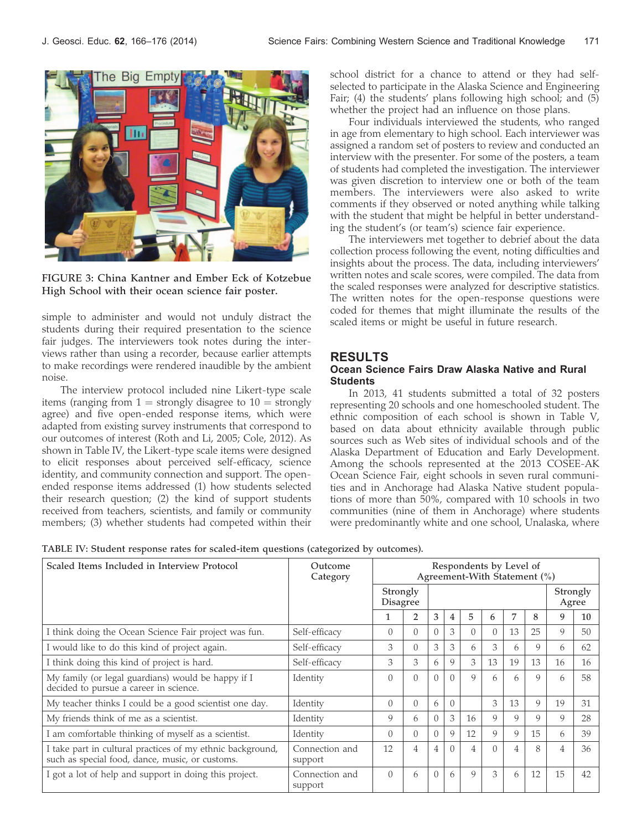

FIGURE 3: China Kantner and Ember Eck of Kotzebue High School with their ocean science fair poster.

simple to administer and would not unduly distract the students during their required presentation to the science fair judges. The interviewers took notes during the interviews rather than using a recorder, because earlier attempts to make recordings were rendered inaudible by the ambient noise.

The interview protocol included nine Likert-type scale items (ranging from  $1 =$  strongly disagree to  $10 =$  strongly agree) and five open-ended response items, which were adapted from existing survey instruments that correspond to our outcomes of interest (Roth and Li, 2005; Cole, 2012). As shown in Table IV, the Likert-type scale items were designed to elicit responses about perceived self-efficacy, science identity, and community connection and support. The openended response items addressed (1) how students selected their research question; (2) the kind of support students received from teachers, scientists, and family or community members; (3) whether students had competed within their

school district for a chance to attend or they had selfselected to participate in the Alaska Science and Engineering Fair; (4) the students' plans following high school; and  $(5)$ whether the project had an influence on those plans.

Four individuals interviewed the students, who ranged in age from elementary to high school. Each interviewer was assigned a random set of posters to review and conducted an interview with the presenter. For some of the posters, a team of students had completed the investigation. The interviewer was given discretion to interview one or both of the team members. The interviewers were also asked to write comments if they observed or noted anything while talking with the student that might be helpful in better understanding the student's (or team's) science fair experience.

The interviewers met together to debrief about the data collection process following the event, noting difficulties and insights about the process. The data, including interviewers' written notes and scale scores, were compiled. The data from the scaled responses were analyzed for descriptive statistics. The written notes for the open-response questions were coded for themes that might illuminate the results of the scaled items or might be useful in future research.

#### RESULTS

#### Ocean Science Fairs Draw Alaska Native and Rural **Students**

In 2013, 41 students submitted a total of 32 posters representing 20 schools and one homeschooled student. The ethnic composition of each school is shown in Table V, based on data about ethnicity available through public sources such as Web sites of individual schools and of the Alaska Department of Education and Early Development. Among the schools represented at the 2013 COSEE-AK Ocean Science Fair, eight schools in seven rural communities and in Anchorage had Alaska Native student populations of more than 50%, compared with 10 schools in two communities (nine of them in Anchorage) where students were predominantly white and one school, Unalaska, where

TABLE IV: Student response rates for scaled-item questions (categorized by outcomes).

| Scaled Items Included in Interview Protocol                                                                   | Outcome<br>Category       | Respondents by Level of<br>Agreement-With Statement (%) |                |          |          |    |                  |              |               |                   |    |
|---------------------------------------------------------------------------------------------------------------|---------------------------|---------------------------------------------------------|----------------|----------|----------|----|------------------|--------------|---------------|-------------------|----|
|                                                                                                               |                           | Strongly<br><b>Disagree</b>                             |                |          |          |    |                  |              |               | Strongly<br>Agree |    |
|                                                                                                               |                           | 1                                                       | 2              | 3        | 4        | 5  | 6                | 7            | 8             | 9                 | 10 |
| I think doing the Ocean Science Fair project was fun.                                                         | Self-efficacy             | $\Omega$                                                | $\Omega$       | $\Omega$ | 3        | 0  | $\left( \right)$ | 13           | 25            | 9                 | 50 |
| I would like to do this kind of project again.                                                                | Self-efficacy             | 3                                                       | $\Omega$       | 3        | 3        | 6  | 3                | 6            | 9             | 6                 | 62 |
| I think doing this kind of project is hard.                                                                   | Self-efficacy             | 3                                                       | 3              | 6        | 9        | 3  | 13               | 19           | 13            | 16                | 16 |
| My family (or legal guardians) would be happy if I<br>decided to pursue a career in science.                  | Identity                  | $\Omega$                                                | $\Omega$       | $\Omega$ | $\Omega$ | 9  | 6                | 6            | $\mathcal{Q}$ | 6                 | 58 |
| My teacher thinks I could be a good scientist one day.                                                        | Identity                  | $\Omega$                                                | $\Omega$       | 6        | $\theta$ |    | 3                | 13           | 9             | 19                | 31 |
| My friends think of me as a scientist.                                                                        | Identity                  | 9                                                       | 6              | $\Omega$ | 3        | 16 | 9                | 9            | 9             | 9                 | 28 |
| I am comfortable thinking of myself as a scientist.                                                           | Identity                  | $\Omega$                                                | $\Omega$       | $\Omega$ | 9        | 12 | $\mathsf{Q}$     | $\mathsf{Q}$ | 15            | 6                 | 39 |
| I take part in cultural practices of my ethnic background,<br>such as special food, dance, music, or customs. | Connection and<br>support | 12                                                      | $\overline{4}$ | 4        | $\Omega$ | 4  |                  | 4            | 8             | 4                 | 36 |
| I got a lot of help and support in doing this project.                                                        | Connection and<br>support | $\Omega$                                                | 6              | $\Omega$ | 6        | 9  | 3                | 6            | 12            | 15                | 42 |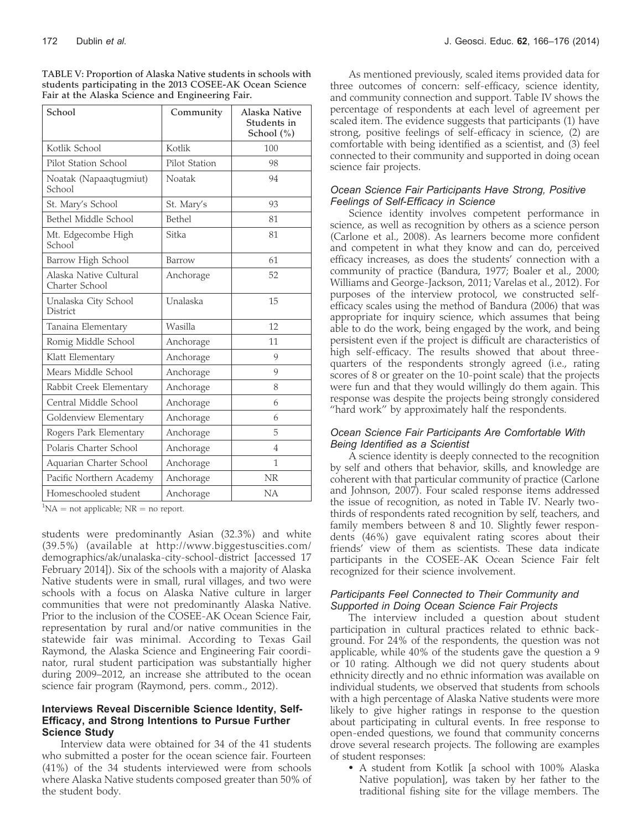| TABLE V: Proportion of Alaska Native students in schools with |
|---------------------------------------------------------------|
| students participating in the 2013 COSEE-AK Ocean Science     |
| Fair at the Alaska Science and Engineering Fair.              |

| School                                   | Community     | Alaska Native<br>Students in<br>School $(\% )$ |
|------------------------------------------|---------------|------------------------------------------------|
| Kotlik School                            | Kotlik        | 100                                            |
| Pilot Station School                     | Pilot Station | 98                                             |
| Noatak (Napaaqtugmiut)<br>School         | Noatak        | 94                                             |
| St. Mary's School                        | St. Mary's    | 93                                             |
| Bethel Middle School                     | <b>Bethel</b> | 81                                             |
| Mt. Edgecombe High<br>School             | Sitka         | 81                                             |
| Barrow High School                       | Barrow        | 61                                             |
| Alaska Native Cultural<br>Charter School | Anchorage     | 52                                             |
| Unalaska City School<br>District         | Unalaska      | 15                                             |
| Tanaina Elementary                       | Wasilla       | 12                                             |
| Romig Middle School                      | Anchorage     | 11                                             |
| Klatt Elementary                         | Anchorage     | 9                                              |
| Mears Middle School                      | Anchorage     | 9                                              |
| Rabbit Creek Elementary                  | Anchorage     | 8                                              |
| Central Middle School                    | Anchorage     | 6                                              |
| Goldenview Elementary                    | Anchorage     | 6                                              |
| Rogers Park Elementary                   | Anchorage     | 5                                              |
| Polaris Charter School                   | Anchorage     | $\overline{4}$                                 |
| Aquarian Charter School                  | Anchorage     | $\mathbf{1}$                                   |
| Pacific Northern Academy                 | Anchorage     | <b>NR</b>                                      |
| Homeschooled student                     | Anchorage     | <b>NA</b>                                      |

 ${}^{1}NA$  = not applicable; NR = no report.

students were predominantly Asian (32.3%) and white (39.5%) (available at http://www.biggestuscities.com/ demographics/ak/unalaska-city-school-district [accessed 17 February 2014]). Six of the schools with a majority of Alaska Native students were in small, rural villages, and two were schools with a focus on Alaska Native culture in larger communities that were not predominantly Alaska Native. Prior to the inclusion of the COSEE-AK Ocean Science Fair, representation by rural and/or native communities in the statewide fair was minimal. According to Texas Gail Raymond, the Alaska Science and Engineering Fair coordinator, rural student participation was substantially higher during 2009–2012, an increase she attributed to the ocean science fair program (Raymond, pers. comm., 2012).

#### Interviews Reveal Discernible Science Identity, Self-Efficacy, and Strong Intentions to Pursue Further Science Study

Interview data were obtained for 34 of the 41 students who submitted a poster for the ocean science fair. Fourteen (41%) of the 34 students interviewed were from schools where Alaska Native students composed greater than 50% of the student body.

As mentioned previously, scaled items provided data for three outcomes of concern: self-efficacy, science identity, and community connection and support. Table IV shows the percentage of respondents at each level of agreement per scaled item. The evidence suggests that participants (1) have strong, positive feelings of self-efficacy in science, (2) are comfortable with being identified as a scientist, and (3) feel connected to their community and supported in doing ocean science fair projects.

#### Ocean Science Fair Participants Have Strong, Positive Feelings of Self-Efficacy in Science

Science identity involves competent performance in science, as well as recognition by others as a science person (Carlone et al., 2008). As learners become more confident and competent in what they know and can do, perceived efficacy increases, as does the students' connection with a community of practice (Bandura, 1977; Boaler et al., 2000; Williams and George-Jackson, 2011; Varelas et al., 2012). For purposes of the interview protocol, we constructed selfefficacy scales using the method of Bandura (2006) that was appropriate for inquiry science, which assumes that being able to do the work, being engaged by the work, and being persistent even if the project is difficult are characteristics of high self-efficacy. The results showed that about threequarters of the respondents strongly agreed (i.e., rating scores of 8 or greater on the 10-point scale) that the projects were fun and that they would willingly do them again. This response was despite the projects being strongly considered "hard work" by approximately half the respondents.

#### Ocean Science Fair Participants Are Comfortable With Being Identified as a Scientist

A science identity is deeply connected to the recognition by self and others that behavior, skills, and knowledge are coherent with that particular community of practice (Carlone and Johnson, 2007). Four scaled response items addressed the issue of recognition, as noted in Table IV. Nearly twothirds of respondents rated recognition by self, teachers, and family members between 8 and 10. Slightly fewer respondents (46%) gave equivalent rating scores about their friends' view of them as scientists. These data indicate participants in the COSEE-AK Ocean Science Fair felt recognized for their science involvement.

#### Participants Feel Connected to Their Community and Supported in Doing Ocean Science Fair Projects

The interview included a question about student participation in cultural practices related to ethnic background. For 24% of the respondents, the question was not applicable, while 40% of the students gave the question a 9 or 10 rating. Although we did not query students about ethnicity directly and no ethnic information was available on individual students, we observed that students from schools with a high percentage of Alaska Native students were more likely to give higher ratings in response to the question about participating in cultural events. In free response to open-ended questions, we found that community concerns drove several research projects. The following are examples of student responses:

- A student from Kotlik [a school with 100% Alaska Native population], was taken by her father to the traditional fishing site for the village members. The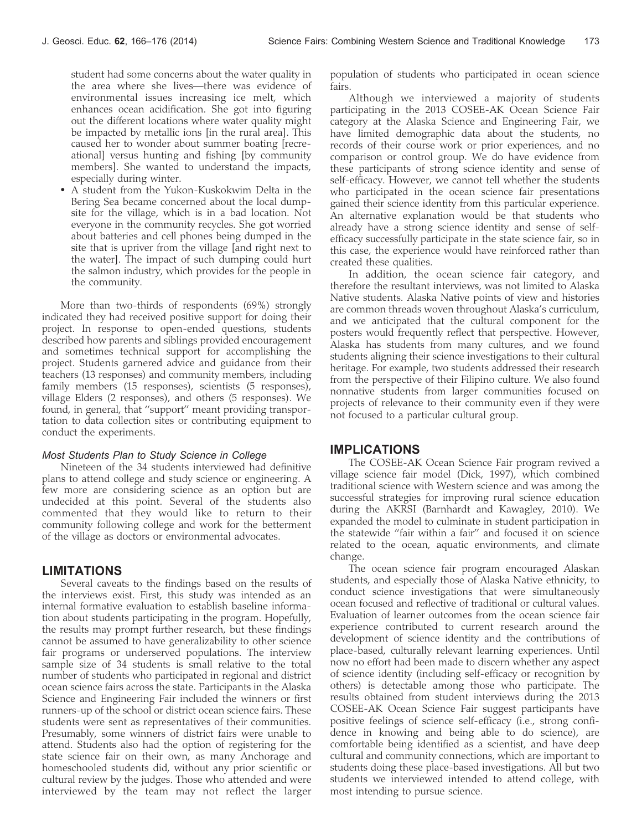student had some concerns about the water quality in the area where she lives—there was evidence of environmental issues increasing ice melt, which enhances ocean acidification. She got into figuring out the different locations where water quality might be impacted by metallic ions [in the rural area]. This caused her to wonder about summer boating [recreational] versus hunting and fishing [by community members]. She wanted to understand the impacts, especially during winter.

- A student from the Yukon-Kuskokwim Delta in the Bering Sea became concerned about the local dumpsite for the village, which is in a bad location. Not everyone in the community recycles. She got worried about batteries and cell phones being dumped in the site that is upriver from the village [and right next to the water]. The impact of such dumping could hurt the salmon industry, which provides for the people in the community.

More than two-thirds of respondents (69%) strongly indicated they had received positive support for doing their project. In response to open-ended questions, students described how parents and siblings provided encouragement and sometimes technical support for accomplishing the project. Students garnered advice and guidance from their teachers (13 responses) and community members, including family members (15 responses), scientists (5 responses), village Elders (2 responses), and others (5 responses). We found, in general, that ''support'' meant providing transportation to data collection sites or contributing equipment to conduct the experiments.

#### Most Students Plan to Study Science in College

Nineteen of the 34 students interviewed had definitive plans to attend college and study science or engineering. A few more are considering science as an option but are undecided at this point. Several of the students also commented that they would like to return to their community following college and work for the betterment of the village as doctors or environmental advocates.

# LIMITATIONS

Several caveats to the findings based on the results of the interviews exist. First, this study was intended as an internal formative evaluation to establish baseline information about students participating in the program. Hopefully, the results may prompt further research, but these findings cannot be assumed to have generalizability to other science fair programs or underserved populations. The interview sample size of 34 students is small relative to the total number of students who participated in regional and district ocean science fairs across the state. Participants in the Alaska Science and Engineering Fair included the winners or first runners-up of the school or district ocean science fairs. These students were sent as representatives of their communities. Presumably, some winners of district fairs were unable to attend. Students also had the option of registering for the state science fair on their own, as many Anchorage and homeschooled students did, without any prior scientific or cultural review by the judges. Those who attended and were interviewed by the team may not reflect the larger

population of students who participated in ocean science fairs.

Although we interviewed a majority of students participating in the 2013 COSEE-AK Ocean Science Fair category at the Alaska Science and Engineering Fair, we have limited demographic data about the students, no records of their course work or prior experiences, and no comparison or control group. We do have evidence from these participants of strong science identity and sense of self-efficacy. However, we cannot tell whether the students who participated in the ocean science fair presentations gained their science identity from this particular experience. An alternative explanation would be that students who already have a strong science identity and sense of selfefficacy successfully participate in the state science fair, so in this case, the experience would have reinforced rather than created these qualities.

In addition, the ocean science fair category, and therefore the resultant interviews, was not limited to Alaska Native students. Alaska Native points of view and histories are common threads woven throughout Alaska's curriculum, and we anticipated that the cultural component for the posters would frequently reflect that perspective. However, Alaska has students from many cultures, and we found students aligning their science investigations to their cultural heritage. For example, two students addressed their research from the perspective of their Filipino culture. We also found nonnative students from larger communities focused on projects of relevance to their community even if they were not focused to a particular cultural group.

## IMPLICATIONS

The COSEE-AK Ocean Science Fair program revived a village science fair model (Dick, 1997), which combined traditional science with Western science and was among the successful strategies for improving rural science education during the AKRSI (Barnhardt and Kawagley, 2010). We expanded the model to culminate in student participation in the statewide ''fair within a fair'' and focused it on science related to the ocean, aquatic environments, and climate change.

The ocean science fair program encouraged Alaskan students, and especially those of Alaska Native ethnicity, to conduct science investigations that were simultaneously ocean focused and reflective of traditional or cultural values. Evaluation of learner outcomes from the ocean science fair experience contributed to current research around the development of science identity and the contributions of place-based, culturally relevant learning experiences. Until now no effort had been made to discern whether any aspect of science identity (including self-efficacy or recognition by others) is detectable among those who participate. The results obtained from student interviews during the 2013 COSEE-AK Ocean Science Fair suggest participants have positive feelings of science self-efficacy (i.e., strong confidence in knowing and being able to do science), are comfortable being identified as a scientist, and have deep cultural and community connections, which are important to students doing these place-based investigations. All but two students we interviewed intended to attend college, with most intending to pursue science.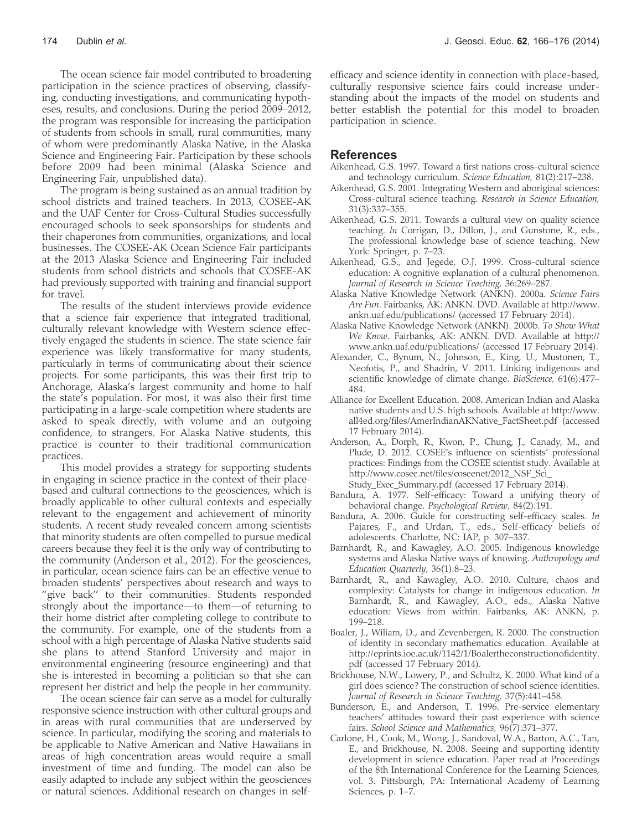Science and Engineering Fair. Participation by these schools before 2009 had been minimal (Alaska Science and Engineering Fair, unpublished data).

The program is being sustained as an annual tradition by school districts and trained teachers. In 2013, COSEE-AK and the UAF Center for Cross-Cultural Studies successfully encouraged schools to seek sponsorships for students and their chaperones from communities, organizations, and local businesses. The COSEE-AK Ocean Science Fair participants at the 2013 Alaska Science and Engineering Fair included students from school districts and schools that COSEE-AK had previously supported with training and financial support for travel.

The results of the student interviews provide evidence that a science fair experience that integrated traditional, culturally relevant knowledge with Western science effectively engaged the students in science. The state science fair experience was likely transformative for many students, particularly in terms of communicating about their science projects. For some participants, this was their first trip to Anchorage, Alaska's largest community and home to half the state's population. For most, it was also their first time participating in a large-scale competition where students are asked to speak directly, with volume and an outgoing confidence, to strangers. For Alaska Native students, this practice is counter to their traditional communication practices.

This model provides a strategy for supporting students in engaging in science practice in the context of their placebased and cultural connections to the geosciences, which is broadly applicable to other cultural contexts and especially relevant to the engagement and achievement of minority students. A recent study revealed concern among scientists that minority students are often compelled to pursue medical careers because they feel it is the only way of contributing to the community (Anderson et al., 2012). For the geosciences, in particular, ocean science fairs can be an effective venue to broaden students' perspectives about research and ways to "give back" to their communities. Students responded strongly about the importance—to them—of returning to their home district after completing college to contribute to the community. For example, one of the students from a school with a high percentage of Alaska Native students said she plans to attend Stanford University and major in environmental engineering (resource engineering) and that she is interested in becoming a politician so that she can represent her district and help the people in her community.

The ocean science fair can serve as a model for culturally responsive science instruction with other cultural groups and in areas with rural communities that are underserved by science. In particular, modifying the scoring and materials to be applicable to Native American and Native Hawaiians in areas of high concentration areas would require a small investment of time and funding. The model can also be easily adapted to include any subject within the geosciences or natural sciences. Additional research on changes in selfefficacy and science identity in connection with place-based, culturally responsive science fairs could increase understanding about the impacts of the model on students and better establish the potential for this model to broaden participation in science.

#### References

- Aikenhead, G.S. 1997. Toward a first nations cross-cultural science and technology curriculum. Science Education, 81(2):217–238.
- Aikenhead, G.S. 2001. Integrating Western and aboriginal sciences: Cross-cultural science teaching. Research in Science Education, 31(3):337–355.
- Aikenhead, G.S. 2011. Towards a cultural view on quality science teaching. In Corrigan, D., Dillon, J., and Gunstone, R., eds., The professional knowledge base of science teaching. New York: Springer, p. 7–23.
- Aikenhead, G.S., and Jegede, O.J. 1999. Cross-cultural science education: A cognitive explanation of a cultural phenomenon. Journal of Research in Science Teaching, 36:269–287.
- Alaska Native Knowledge Network (ANKN). 2000a. Science Fairs Are Fun. Fairbanks, AK: ANKN. DVD. Available at http://www. ankn.uaf.edu/publications/ (accessed 17 February 2014).
- Alaska Native Knowledge Network (ANKN). 2000b. To Show What We Know. Fairbanks, AK: ANKN. DVD. Available at http:// www.ankn.uaf.edu/publications/ (accessed 17 February 2014).
- Alexander, C., Bynum, N., Johnson, E., King, U., Mustonen, T., Neofotis, P., and Shadrin, V. 2011. Linking indigenous and scientific knowledge of climate change. BioScience, 61(6):477– 484.
- Alliance for Excellent Education. 2008. American Indian and Alaska native students and U.S. high schools. Available at http://www. all4ed.org/files/AmerIndianAKNative\_FactSheet.pdf (accessed 17 February 2014).
- Anderson, A., Dorph, R., Kwon, P., Chung, J., Canady, M., and Plude, D. 2012. COSEE's influence on scientists' professional practices: Findings from the COSEE scientist study. Available at http://www.cosee.net/files/coseenet/2012\_NSF\_Sci\_ Study\_Exec\_Summary.pdf (accessed 17 February 2014).
- Bandura, A. 1977. Self-efficacy: Toward a unifying theory of behavioral change. Psychological Review, 84(2):191.
- Bandura, A. 2006. Guide for constructing self-efficacy scales. In Pajares, F., and Urdan, T., eds., Self-efficacy beliefs of adolescents. Charlotte, NC: IAP, p. 307–337.
- Barnhardt, R., and Kawagley, A.O. 2005. Indigenous knowledge systems and Alaska Native ways of knowing. Anthropology and Education Quarterly, 36(1):8–23.
- Barnhardt, R., and Kawagley, A.O. 2010. Culture, chaos and complexity: Catalysts for change in indigenous education. In Barnhardt, R., and Kawagley, A.O., eds., Alaska Native education: Views from within. Fairbanks, AK: ANKN, p. 199–218.
- Boaler, J., Wiliam, D., and Zevenbergen, R. 2000. The construction of identity in secondary mathematics education. Available at http://eprints.ioe.ac.uk/1142/1/Boalertheconstructionofidentity. pdf (accessed 17 February 2014).
- Brickhouse, N.W., Lowery, P., and Schultz, K. 2000. What kind of a girl does science? The construction of school science identities. Journal of Research in Science Teaching, 37(5):441–458.
- Bunderson, E., and Anderson, T. 1996. Pre-service elementary teachers' attitudes toward their past experience with science fairs. School Science and Mathematics, 96(7):371–377.
- Carlone, H., Cook, M., Wong, J., Sandoval, W.A., Barton, A.C., Tan, E., and Brickhouse, N. 2008. Seeing and supporting identity development in science education. Paper read at Proceedings of the 8th International Conference for the Learning Sciences, vol. 3. Pittsburgh, PA: International Academy of Learning Sciences, p. 1–7.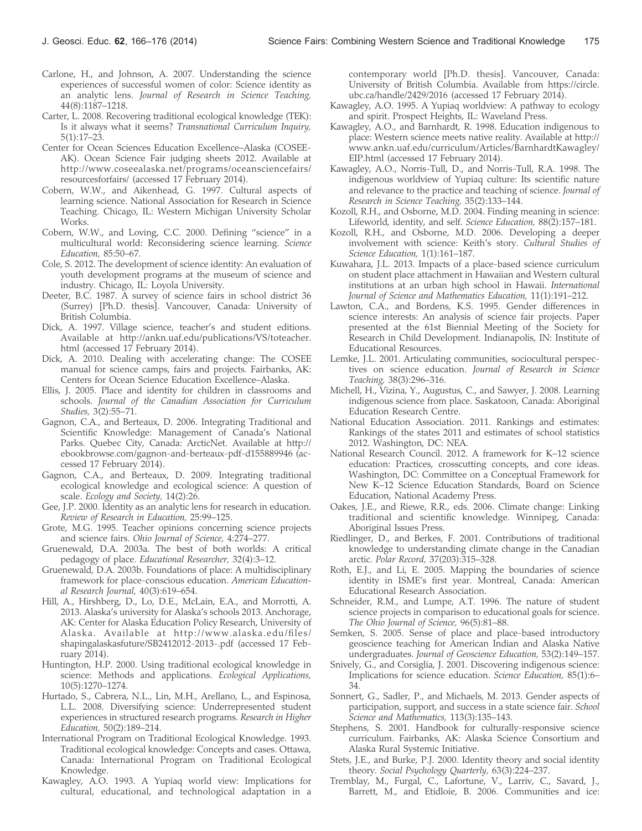- Carlone, H., and Johnson, A. 2007. Understanding the science experiences of successful women of color: Science identity as an analytic lens. Journal of Research in Science Teaching, 44(8):1187–1218.
- Carter, L. 2008. Recovering traditional ecological knowledge (TEK): Is it always what it seems? Transnational Curriculum Inquiry, 5(1):17–23.
- Center for Ocean Sciences Education Excellence–Alaska (COSEE-AK). Ocean Science Fair judging sheets 2012. Available at http://www.coseealaska.net/programs/oceansciencefairs/ resourcesforfairs/ (accessed 17 February 2014).
- Cobern, W.W., and Aikenhead, G. 1997. Cultural aspects of learning science. National Association for Research in Science Teaching. Chicago, IL: Western Michigan University Scholar Works.
- Cobern, W.W., and Loving, C.C. 2000. Defining ''science'' in a multicultural world: Reconsidering science learning. Science Education, 85:50–67.
- Cole, S. 2012. The development of science identity: An evaluation of youth development programs at the museum of science and industry. Chicago, IL: Loyola University.
- Deeter, B.C. 1987. A survey of science fairs in school district 36 (Surrey) [Ph.D. thesis]. Vancouver, Canada: University of British Columbia.
- Dick, A. 1997. Village science, teacher's and student editions. Available at http://ankn.uaf.edu/publications/VS/toteacher. html (accessed 17 February 2014).
- Dick, A. 2010. Dealing with accelerating change: The COSEE manual for science camps, fairs and projects. Fairbanks, AK: Centers for Ocean Science Education Excellence–Alaska.
- Ellis, J. 2005. Place and identity for children in classrooms and schools. Journal of the Canadian Association for Curriculum Studies, 3(2):55–71.
- Gagnon, C.A., and Berteaux, D. 2006. Integrating Traditional and Scientific Knowledge: Management of Canada's National Parks. Quebec City, Canada: ArcticNet. Available at http:// ebookbrowse.com/gagnon-and-berteaux-pdf-d155889946 (accessed 17 February 2014).
- Gagnon, C.A., and Berteaux, D. 2009. Integrating traditional ecological knowledge and ecological science: A question of scale. Ecology and Society, 14(2):26.
- Gee, J.P. 2000. Identity as an analytic lens for research in education. Review of Research in Education, 25:99–125.
- Grote, M.G. 1995. Teacher opinions concerning science projects and science fairs. Ohio Journal of Science, 4:274–277.
- Gruenewald, D.A. 2003a. The best of both worlds: A critical pedagogy of place. Educational Researcher, 32(4):3–12.
- Gruenewald, D.A. 2003b. Foundations of place: A multidisciplinary framework for place-conscious education. American Educational Research Journal, 40(3):619–654.
- Hill, A., Hirshberg, D., Lo, D.E., McLain, E.A., and Morrotti, A. 2013. Alaska's university for Alaska's schools 2013. Anchorage, AK: Center for Alaska Education Policy Research, University of Alaska. Available at http://www.alaska.edu/files/ shapingalaskasfuture/SB2412012-2013-.pdf (accessed 17 February 2014).
- Huntington, H.P. 2000. Using traditional ecological knowledge in science: Methods and applications. Ecological Applications, 10(5):1270–1274.
- Hurtado, S., Cabrera, N.L., Lin, M.H., Arellano, L., and Espinosa, L.L. 2008. Diversifying science: Underrepresented student experiences in structured research programs. Research in Higher Education, 50(2):189–214.
- International Program on Traditional Ecological Knowledge. 1993. Traditional ecological knowledge: Concepts and cases. Ottawa, Canada: International Program on Traditional Ecological Knowledge.
- Kawagley, A.O. 1993. A Yupiaq world view: Implications for cultural, educational, and technological adaptation in a

contemporary world [Ph.D. thesis]. Vancouver, Canada: University of British Columbia. Available from https://circle. ubc.ca/handle/2429/2016 (accessed 17 February 2014).

- Kawagley, A.O. 1995. A Yupiaq worldview: A pathway to ecology and spirit. Prospect Heights, IL: Waveland Press.
- Kawagley, A.O., and Barnhardt, R. 1998. Education indigenous to place: Western science meets native reality. Available at http:// www.ankn.uaf.edu/curriculum/Articles/BarnhardtKawagley/ EIP.html (accessed 17 February 2014).
- Kawagley, A.O., Norris-Tull, D., and Norris-Tull, R.A. 1998. The indigenous worldview of Yupiaq culture: Its scientific nature and relevance to the practice and teaching of science. Journal of Research in Science Teaching, 35(2):133–144.
- Kozoll, R.H., and Osborne, M.D. 2004. Finding meaning in science: Lifeworld, identity, and self. Science Education, 88(2):157–181.
- Kozoll, R.H., and Osborne, M.D. 2006. Developing a deeper involvement with science: Keith's story. Cultural Studies of Science Education, 1(1):161–187.
- Kuwahara, J.L. 2013. Impacts of a place-based science curriculum on student place attachment in Hawaiian and Western cultural institutions at an urban high school in Hawaii. International Journal of Science and Mathematics Education, 11(1):191–212.
- Lawton, C.A., and Bordens, K.S. 1995. Gender differences in science interests: An analysis of science fair projects. Paper presented at the 61st Biennial Meeting of the Society for Research in Child Development. Indianapolis, IN: Institute of Educational Resources.
- Lemke, J.L. 2001. Articulating communities, sociocultural perspectives on science education. Journal of Research in Science Teaching, 38(3):296–316.
- Michell, H., Vizina, Y., Augustus, C., and Sawyer, J. 2008. Learning indigenous science from place. Saskatoon, Canada: Aboriginal Education Research Centre.
- National Education Association. 2011. Rankings and estimates: Rankings of the states 2011 and estimates of school statistics 2012. Washington, DC: NEA.
- National Research Council. 2012. A framework for K–12 science education: Practices, crosscutting concepts, and core ideas. Washington, DC: Committee on a Conceptual Framework for New K–12 Science Education Standards, Board on Science Education, National Academy Press.
- Oakes, J.E., and Riewe, R.R., eds. 2006. Climate change: Linking traditional and scientific knowledge. Winnipeg, Canada: Aboriginal Issues Press.
- Riedlinger, D., and Berkes, F. 2001. Contributions of traditional knowledge to understanding climate change in the Canadian arctic. Polar Record, 37(203):315–328.
- Roth, E.J., and Li, E. 2005. Mapping the boundaries of science identity in ISME's first year. Montreal, Canada: American Educational Research Association.
- Schneider, R.M., and Lumpe, A.T. 1996. The nature of student science projects in comparison to educational goals for science. The Ohio Journal of Science, 96(5):81–88.
- Semken, S. 2005. Sense of place and place-based introductory geoscience teaching for American Indian and Alaska Native undergraduates. Journal of Geoscience Education, 53(2):149–157.
- Snively, G., and Corsiglia, J. 2001. Discovering indigenous science: Implications for science education. Science Education, 85(1):6– 34.
- Sonnert, G., Sadler, P., and Michaels, M. 2013. Gender aspects of participation, support, and success in a state science fair. School Science and Mathematics, 113(3):135–143.
- Stephens, S. 2001. Handbook for culturally-responsive science curriculum. Fairbanks, AK: Alaska Science Consortium and Alaska Rural Systemic Initiative.
- Stets, J.E., and Burke, P.J. 2000. Identity theory and social identity theory. Social Psychology Quarterly, 63(3):224–237.
- Tremblay, M., Furgal, C., Lafortune, V., Larriv, C., Savard, J., Barrett, M., and Etidloie, B. 2006. Communities and ice: